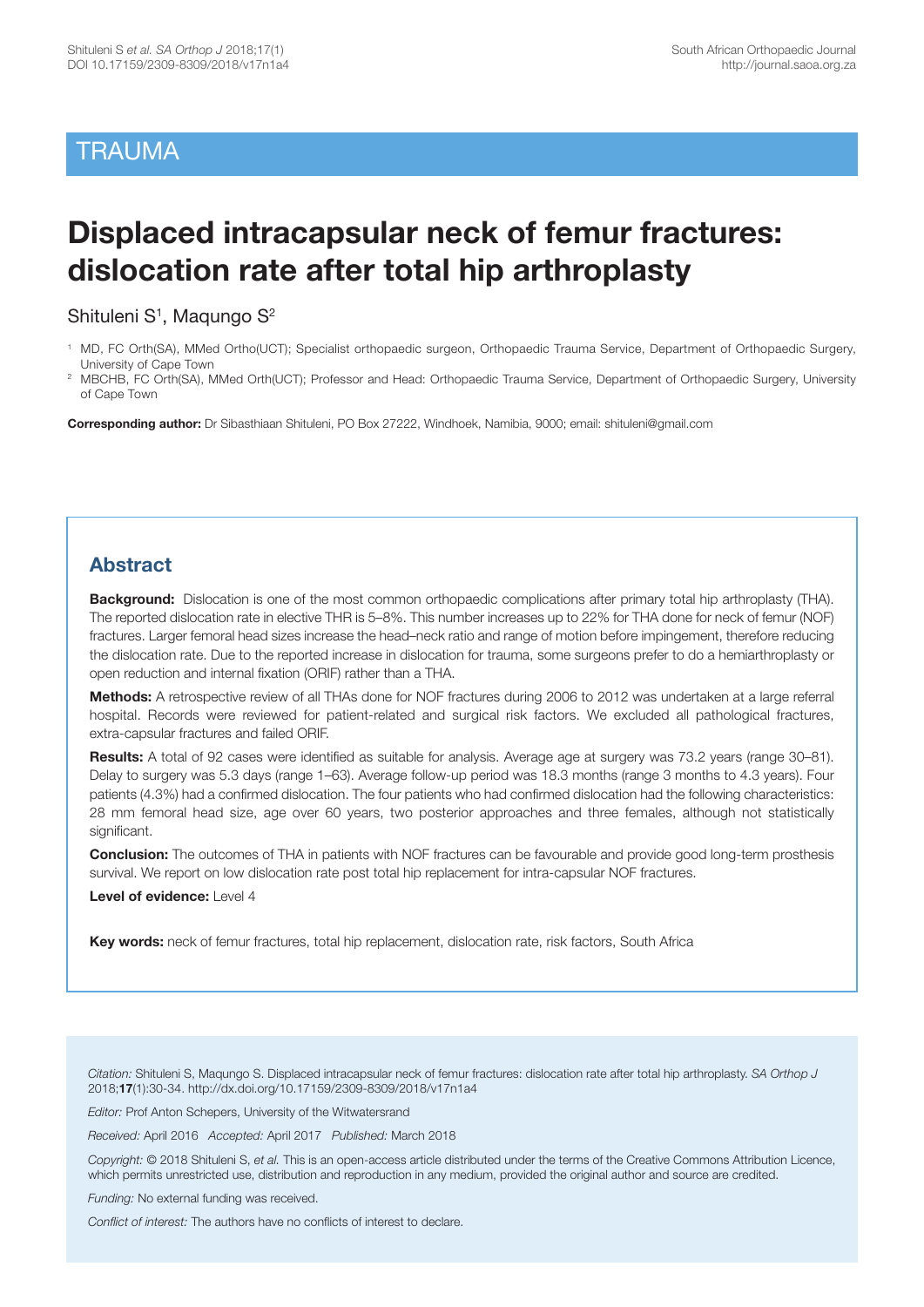# **TRAUMA**

# **Displaced intracapsular neck of femur fractures: dislocation rate after total hip arthroplasty**

Shituleni S<sup>1</sup>, Magungo S<sup>2</sup>

**Corresponding author:** Dr Sibasthiaan Shituleni, PO Box 27222, Windhoek, Namibia, 9000; email: shituleni@gmail.com

### **Abstract**

**Background:** Dislocation is one of the most common orthopaedic complications after primary total hip arthroplasty (THA). The reported dislocation rate in elective THR is 5–8%. This number increases up to 22% for THA done for neck of femur (NOF) fractures. Larger femoral head sizes increase the head–neck ratio and range of motion before impingement, therefore reducing the dislocation rate. Due to the reported increase in dislocation for trauma, some surgeons prefer to do a hemiarthroplasty or open reduction and internal fixation (ORIF) rather than a THA.

**Methods:** A retrospective review of all THAs done for NOF fractures during 2006 to 2012 was undertaken at a large referral hospital. Records were reviewed for patient-related and surgical risk factors. We excluded all pathological fractures, extra-capsular fractures and failed ORIF.

**Results:** A total of 92 cases were identified as suitable for analysis. Average age at surgery was 73.2 years (range 30–81). Delay to surgery was 5.3 days (range 1–63). Average follow-up period was 18.3 months (range 3 months to 4.3 years). Four patients (4.3%) had a confirmed dislocation. The four patients who had confirmed dislocation had the following characteristics: 28 mm femoral head size, age over 60 years, two posterior approaches and three females, although not statistically significant.

**Conclusion:** The outcomes of THA in patients with NOF fractures can be favourable and provide good long-term prosthesis survival. We report on low dislocation rate post total hip replacement for intra-capsular NOF fractures.

**Level of evidence:** Level 4

**Key words:** neck of femur fractures, total hip replacement, dislocation rate, risk factors, South Africa

*Citation:* Shituleni S, Maqungo S. Displaced intracapsular neck of femur fractures: dislocation rate after total hip arthroplasty. *SA Orthop J* 2018;**17**(1):30-34. http://dx.doi.org/10.17159/2309-8309/2018/v17n1a4

*Editor:* Prof Anton Schepers, University of the Witwatersrand

*Received:* April 2016 *Accepted:* April 2017 *Published:* March 2018

*Copyright:* © 2018 Shituleni S, *et al.* This is an open-access article distributed under the terms of the Creative Commons Attribution Licence, which permits unrestricted use, distribution and reproduction in any medium, provided the original author and source are credited.

*Funding:* No external funding was received.

*Conflict of interest:* The authors have no conflicts of interest to declare.

<sup>1</sup> MD, FC Orth(SA), MMed Ortho(UCT); Specialist orthopaedic surgeon, Orthopaedic Trauma Service, Department of Orthopaedic Surgery, University of Cape Town

<sup>2</sup> MBCHB, FC Orth(SA), MMed Orth(UCT); Professor and Head: Orthopaedic Trauma Service, Department of Orthopaedic Surgery, University of Cape Town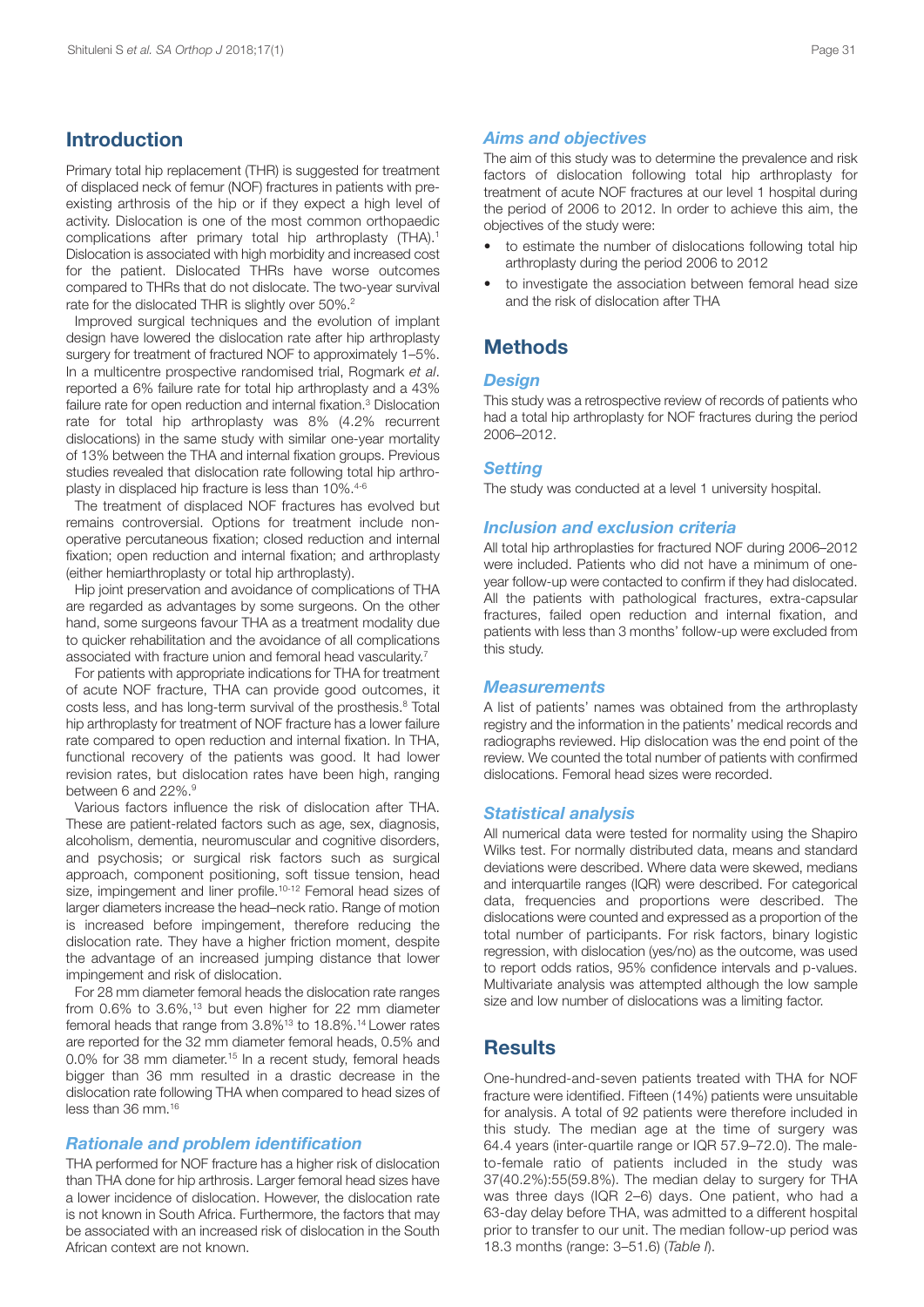### **Introduction**

Primary total hip replacement (THR) is suggested for treatment of displaced neck of femur (NOF) fractures in patients with preexisting arthrosis of the hip or if they expect a high level of activity. Dislocation is one of the most common orthopaedic complications after primary total hip arthroplasty (THA). 1 Dislocation is associated with high morbidity and increased cost for the patient. Dislocated THRs have worse outcomes compared to THRs that do not dislocate. The two-year survival rate for the dislocated THR is slightly over 50%.<sup>2</sup>

Improved surgical techniques and the evolution of implant design have lowered the dislocation rate after hip arthroplasty surgery for treatment of fractured NOF to approximately 1–5%. In a multicentre prospective randomised trial, Rogmark *et al*. reported a 6% failure rate for total hip arthroplasty and a 43% failure rate for open reduction and internal fixation. <sup>3</sup> Dislocation rate for total hip arthroplasty was 8% (4.2% recurrent dislocations) in the same study with similar one-year mortality of 13% between the THA and internal fixation groups. Previous studies revealed that dislocation rate following total hip arthroplasty in displaced hip fracture is less than 10%. 4-6

The treatment of displaced NOF fractures has evolved but remains controversial. Options for treatment include nonoperative percutaneous fixation; closed reduction and internal fixation; open reduction and internal fixation; and arthroplasty (either hemiarthroplasty or total hip arthroplasty).

Hip joint preservation and avoidance of complications of THA are regarded as advantages by some surgeons. On the other hand, some surgeons favour THA as a treatment modality due to quicker rehabilitation and the avoidance of all complications associated with fracture union and femoral head vascularity.<sup>7</sup>

For patients with appropriate indications for THA for treatment of acute NOF fracture, THA can provide good outcomes, it costs less, and has long-term survival of the prosthesis. <sup>8</sup> Total hip arthroplasty for treatment of NOF fracture has a lower failure rate compared to open reduction and internal fixation. In THA, functional recovery of the patients was good. It had lower revision rates, but dislocation rates have been high, ranging between 6 and 22%. 9

Various factors influence the risk of dislocation after THA. These are patient-related factors such as age, sex, diagnosis, alcoholism, dementia, neuromuscular and cognitive disorders, and psychosis; or surgical risk factors such as surgical approach, component positioning, soft tissue tension, head size, impingement and liner profile. 10-12 Femoral head sizes of larger diameters increase the head–neck ratio. Range of motion is increased before impingement, therefore reducing the dislocation rate. They have a higher friction moment, despite the advantage of an increased jumping distance that lower impingement and risk of dislocation.

For 28 mm diameter femoral heads the dislocation rate ranges from 0.6% to 3.6%, <sup>13</sup> but even higher for 22 mm diameter femoral heads that range from 3.8%13 to 18.8%. <sup>14</sup> Lower rates are reported for the 32 mm diameter femoral heads, 0.5% and 0.0% for 38 mm diameter. <sup>15</sup> In a recent study, femoral heads bigger than 36 mm resulted in a drastic decrease in the dislocation rate following THA when compared to head sizes of less than 36 mm. 16

### *Rationale and problem identification*

THA performed for NOF fracture has a higher risk of dislocation than THA done for hip arthrosis. Larger femoral head sizes have a lower incidence of dislocation. However, the dislocation rate is not known in South Africa. Furthermore, the factors that may be associated with an increased risk of dislocation in the South African context are not known.

### *Aims and objectives*

The aim of this study was to determine the prevalence and risk factors of dislocation following total hip arthroplasty for treatment of acute NOF fractures at our level 1 hospital during the period of 2006 to 2012. In order to achieve this aim, the objectives of the study were:

- to estimate the number of dislocations following total hip arthroplasty during the period 2006 to 2012
- to investigate the association between femoral head size and the risk of dislocation after THA

### **Methods**

### *Design*

This study was a retrospective review of records of patients who had a total hip arthroplasty for NOF fractures during the period 2006–2012.

### *Setting*

The study was conducted at a level 1 university hospital.

### *Inclusion and exclusion criteria*

All total hip arthroplasties for fractured NOF during 2006–2012 were included. Patients who did not have a minimum of oneyear follow-up were contacted to confirm if they had dislocated. All the patients with pathological fractures, extra-capsular fractures, failed open reduction and internal fixation, and patients with less than 3 months' follow-up were excluded from this study.

#### *Measurements*

A list of patients' names was obtained from the arthroplasty registry and the information in the patients' medical records and radiographs reviewed. Hip dislocation was the end point of the review. We counted the total number of patients with confirmed dislocations. Femoral head sizes were recorded.

### *Statistical analysis*

All numerical data were tested for normality using the Shapiro Wilks test. For normally distributed data, means and standard deviations were described. Where data were skewed, medians and interquartile ranges (IQR) were described. For categorical data, frequencies and proportions were described. The dislocations were counted and expressed as a proportion of the total number of participants. For risk factors, binary logistic regression, with dislocation (yes/no) as the outcome, was used to report odds ratios, 95% confidence intervals and p-values. Multivariate analysis was attempted although the low sample size and low number of dislocations was a limiting factor.

### **Results**

One-hundred-and-seven patients treated with THA for NOF fracture were identified. Fifteen (14%) patients were unsuitable for analysis. A total of 92 patients were therefore included in this study. The median age at the time of surgery was 64.4 years (inter-quartile range or IQR 57.9–72.0). The maleto-female ratio of patients included in the study was 37(40.2%):55(59.8%). The median delay to surgery for THA was three days (IQR 2–6) days. One patient, who had a 63-day delay before THA, was admitted to a different hospital prior to transfer to our unit. The median follow-up period was 18.3 months (range: 3–51.6) (*Table I*).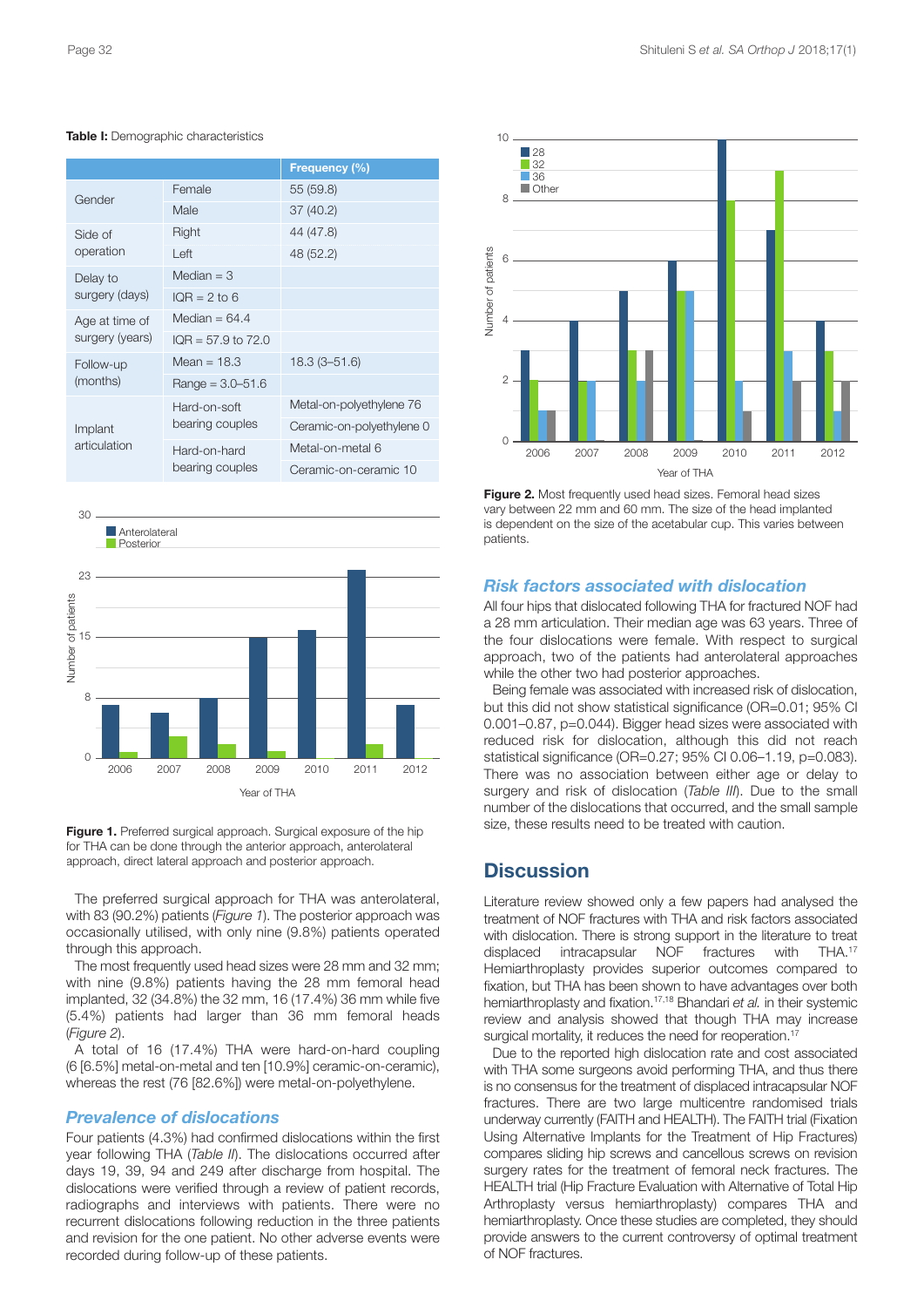|                                   |                        | Frequency (%)             |  |
|-----------------------------------|------------------------|---------------------------|--|
| Gender                            | Female                 | 55 (59.8)                 |  |
|                                   | Male                   | 37 (40.2)                 |  |
| Side of<br>operation              | Right                  | 44 (47.8)                 |  |
|                                   | Left                   | 48 (52.2)                 |  |
| Delay to<br>surgery (days)        | Median $=$ 3           |                           |  |
|                                   | $IOR = 2$ to 6         |                           |  |
| Age at time of<br>surgery (years) | Median = $64.4$        |                           |  |
|                                   | $IOR = 57.9$ to $72.0$ |                           |  |
| Follow-up<br>(months)             | Mean = $18.3$          | $18.3(3 - 51.6)$          |  |
|                                   | Range = $3.0 - 51.6$   |                           |  |
| Implant<br>articulation           | Hard-on-soft           | Metal-on-polyethylene 76  |  |
|                                   | bearing couples        | Ceramic-on-polyethylene 0 |  |
|                                   | Hard-on-hard           | Metal-on-metal 6          |  |
|                                   | bearing couples        | Ceramic-on-ceramic 10     |  |

#### **Table I:** Demographic characteristics



**Figure 1.** Preferred surgical approach. Surgical exposure of the hip for THA can be done through the anterior approach, anterolateral approach, direct lateral approach and posterior approach.

The preferred surgical approach for THA was anterolateral, with 83 (90.2%) patients (*Figure 1*). The posterior approach was occasionally utilised, with only nine (9.8%) patients operated through this approach.

The most frequently used head sizes were 28 mm and 32 mm; with nine (9.8%) patients having the 28 mm femoral head implanted, 32 (34.8%) the 32 mm, 16 (17.4%) 36 mm while five (5.4%) patients had larger than 36 mm femoral heads (*Figure 2*).

A total of 16 (17.4%) THA were hard-on-hard coupling (6 [6.5%] metal-on-metal and ten [10.9%] ceramic-on-ceramic), whereas the rest (76 [82.6%]) were metal-on-polyethylene.

### *Prevalence of dislocations*

Four patients (4.3%) had confirmed dislocations within the first year following THA (*Table II*). The dislocations occurred after days 19, 39, 94 and 249 after discharge from hospital. The dislocations were verified through a review of patient records, radiographs and interviews with patients. There were no recurrent dislocations following reduction in the three patients and revision for the one patient. No other adverse events were recorded during follow-up of these patients.



**Figure 2.** Most frequently used head sizes. Femoral head sizes vary between 22 mm and 60 mm. The size of the head implanted is dependent on the size of the acetabular cup. This varies between patients.

### *Risk factors associated with dislocation*

All four hips that dislocated following THA for fractured NOF had a 28 mm articulation. Their median age was 63 years. Three of the four dislocations were female. With respect to surgical approach, two of the patients had anterolateral approaches while the other two had posterior approaches.

Being female was associated with increased risk of dislocation, but this did not show statistical significance (OR=0.01; 95% CI 0.001–0.87, p=0.044). Bigger head sizes were associated with reduced risk for dislocation, although this did not reach statistical significance (OR=0.27; 95% CI 0.06–1.19, p=0.083). There was no association between either age or delay to surgery and risk of dislocation (*Table III*). Due to the small number of the dislocations that occurred, and the small sample size, these results need to be treated with caution.

### **Discussion**

Literature review showed only a few papers had analysed the treatment of NOF fractures with THA and risk factors associated with dislocation. There is strong support in the literature to treat displaced intracapsular NOF fractures with THA.<sup>17</sup> Hemiarthroplasty provides superior outcomes compared to fixation, but THA has been shown to have advantages over both hemiarthroplasty and fixation. 17,18 Bhandari *et al.* in their systemic review and analysis showed that though THA may increase surgical mortality, it reduces the need for reoperation. 17

Due to the reported high dislocation rate and cost associated with THA some surgeons avoid performing THA, and thus there is no consensus for the treatment of displaced intracapsular NOF fractures. There are two large multicentre randomised trials underway currently (FAITH and HEALTH). The FAITH trial (Fixation Using Alternative Implants for the Treatment of Hip Fractures) compares sliding hip screws and cancellous screws on revision surgery rates for the treatment of femoral neck fractures. The HEALTH trial (Hip Fracture Evaluation with Alternative of Total Hip Arthroplasty versus hemiarthroplasty) compares THA and hemiarthroplasty. Once these studies are completed, they should provide answers to the current controversy of optimal treatment of NOF fractures.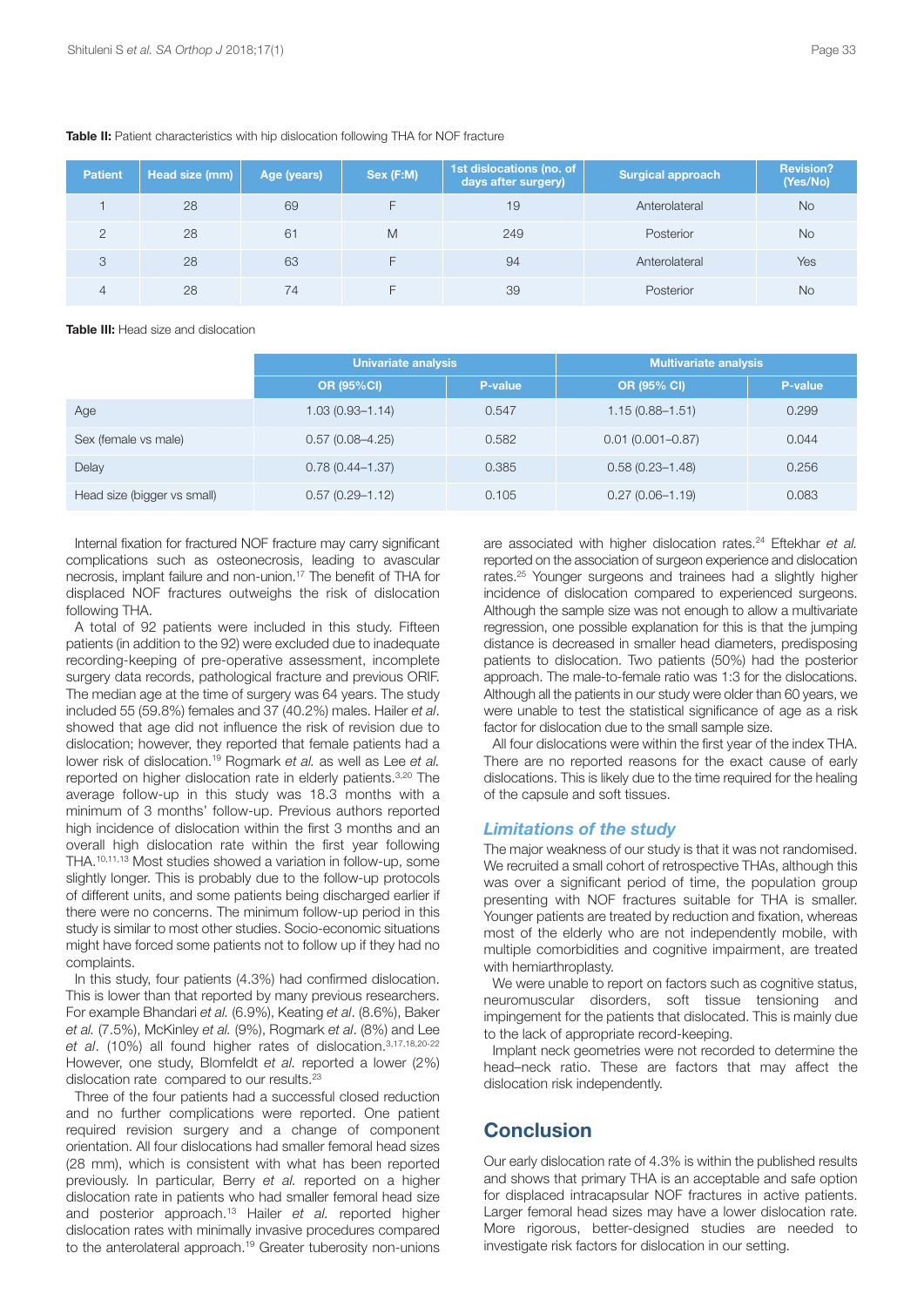| <b>Patient</b> | Head size (mm) | Age (years) | Sex (F:M) | 1st dislocations (no. of<br>days after surgery) | <b>Surgical approach</b> | <b>Revision?</b><br>(Yes/No) |
|----------------|----------------|-------------|-----------|-------------------------------------------------|--------------------------|------------------------------|
|                | 28             | 69          |           | 19                                              | Anterolateral            | <b>No</b>                    |
| $\mathcal{P}$  | 28             | 61          | M         | 249                                             | Posterior                | <b>No</b>                    |
| 3              | 28             | 63          |           | 94                                              | Anterolateral            | Yes                          |
| $\Delta$       | 28             | 74          |           | 39                                              | Posterior                | <b>No</b>                    |

#### **Table II:** Patient characteristics with hip dislocation following THA for NOF fracture

**Table III:** Head size and dislocation

|                             | <b>Univariate analysis</b> |         | <b>Multivariate analysis</b> |         |
|-----------------------------|----------------------------|---------|------------------------------|---------|
|                             | <b>OR (95%CI)</b>          | P-value | <b>OR (95% CI)</b>           | P-value |
| Age                         | $1.03(0.93 - 1.14)$        | 0.547   | $1.15(0.88 - 1.51)$          | 0.299   |
| Sex (female vs male)        | $0.57(0.08 - 4.25)$        | 0.582   | $0.01(0.001 - 0.87)$         | 0.044   |
| Delay                       | $0.78(0.44 - 1.37)$        | 0.385   | $0.58(0.23 - 1.48)$          | 0.256   |
| Head size (bigger vs small) | $0.57(0.29 - 1.12)$        | 0.105   | $0.27(0.06 - 1.19)$          | 0.083   |

Internal fixation for fractured NOF fracture may carry significant complications such as osteonecrosis, leading to avascular necrosis, implant failure and non-union. <sup>17</sup> The benefit of THA for displaced NOF fractures outweighs the risk of dislocation following THA.

A total of 92 patients were included in this study. Fifteen patients (in addition to the 92) were excluded due to inadequate recording-keeping of pre-operative assessment, incomplete surgery data records, pathological fracture and previous ORIF. The median age at the time of surgery was 64 years. The study included 55 (59.8%) females and 37 (40.2%) males. Hailer *et al*. showed that age did not influence the risk of revision due to dislocation; however, they reported that female patients had a lower risk of dislocation. <sup>19</sup> Rogmark *et al.* as well as Lee *et al.* reported on higher dislocation rate in elderly patients. 3,20 The average follow-up in this study was 18.3 months with a minimum of 3 months' follow-up. Previous authors reported high incidence of dislocation within the first 3 months and an overall high dislocation rate within the first year following THA. 10,11,13 Most studies showed a variation in follow-up, some slightly longer. This is probably due to the follow-up protocols of different units, and some patients being discharged earlier if there were no concerns. The minimum follow-up period in this study is similar to most other studies. Socio-economic situations might have forced some patients not to follow up if they had no complaints.

In this study, four patients (4.3%) had confirmed dislocation. This is lower than that reported by many previous researchers. For example Bhandari *et al.* (6.9%), Keating *et al*. (8.6%), Baker *et al.* (7.5%), McKinley *et al.* (9%), Rogmark *et al*. (8%) and Lee *et al*. (10%) all found higher rates of dislocation. 3,17,18,20-22 However, one study, Blomfeldt *et al.* reported a lower (2%) dislocation rate compared to our results.<sup>23</sup>

Three of the four patients had a successful closed reduction and no further complications were reported. One patient required revision surgery and a change of component orientation. All four dislocations had smaller femoral head sizes (28 mm), which is consistent with what has been reported previously. In particular, Berry *et al.* reported on a higher dislocation rate in patients who had smaller femoral head size and posterior approach. <sup>13</sup> Hailer *et al.* reported higher dislocation rates with minimally invasive procedures compared to the anterolateral approach. <sup>19</sup> Greater tuberosity non-unions

are associated with higher dislocation rates. <sup>24</sup> Eftekhar *et al.* reported on the association of surgeon experience and dislocation rates. <sup>25</sup> Younger surgeons and trainees had a slightly higher incidence of dislocation compared to experienced surgeons. Although the sample size was not enough to allow a multivariate regression, one possible explanation for this is that the jumping distance is decreased in smaller head diameters, predisposing patients to dislocation. Two patients (50%) had the posterior approach. The male-to-female ratio was 1:3 for the dislocations. Although all the patients in our study were older than 60 years, we were unable to test the statistical significance of age as a risk factor for dislocation due to the small sample size.

All four dislocations were within the first year of the index THA. There are no reported reasons for the exact cause of early dislocations. This is likely due to the time required for the healing of the capsule and soft tissues.

### *Limitations of the study*

The major weakness of our study is that it was not randomised. We recruited a small cohort of retrospective THAs, although this was over a significant period of time, the population group presenting with NOF fractures suitable for THA is smaller. Younger patients are treated by reduction and fixation, whereas most of the elderly who are not independently mobile, with multiple comorbidities and cognitive impairment, are treated with hemiarthroplasty.

We were unable to report on factors such as cognitive status, neuromuscular disorders, soft tissue tensioning and impingement for the patients that dislocated. This is mainly due to the lack of appropriate record-keeping.

Implant neck geometries were not recorded to determine the head–neck ratio. These are factors that may affect the dislocation risk independently.

### **Conclusion**

Our early dislocation rate of 4.3% is within the published results and shows that primary THA is an acceptable and safe option for displaced intracapsular NOF fractures in active patients. Larger femoral head sizes may have a lower dislocation rate. More rigorous, better-designed studies are needed to investigate risk factors for dislocation in our setting.